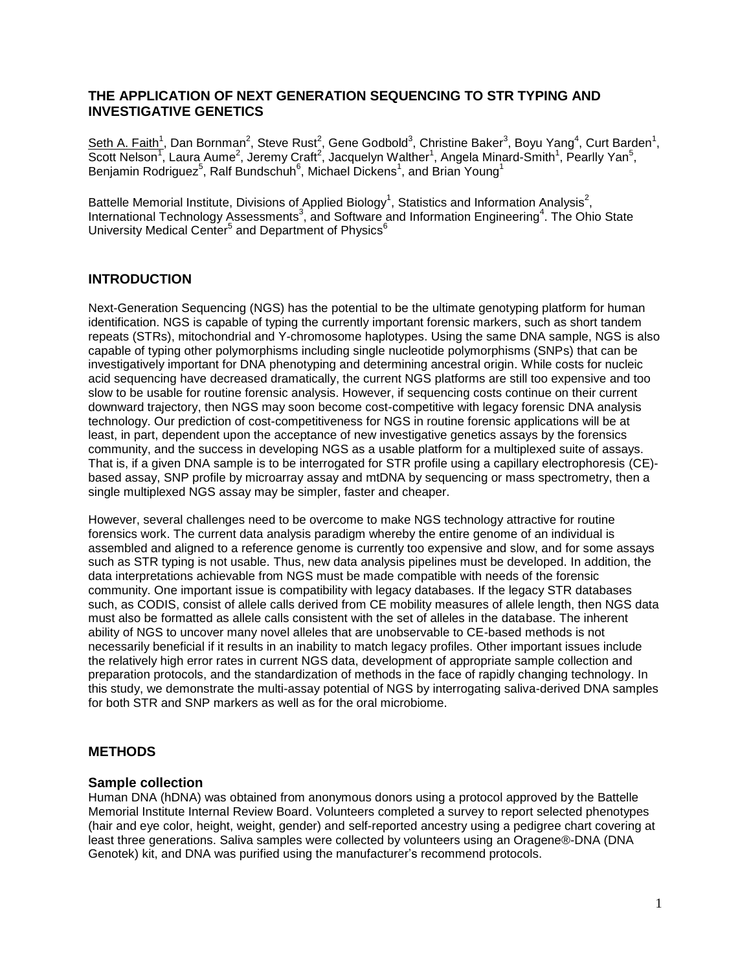## **THE APPLICATION OF NEXT GENERATION SEQUENCING TO STR TYPING AND INVESTIGATIVE GENETICS**

Seth A. Faith<sup>1</sup>, Dan Bornman<sup>2</sup>, Steve Rust<sup>2</sup>, Gene Godbold<sup>3</sup>, Christine Baker<sup>3</sup>, Boyu Yang<sup>4</sup>, Curt Barden<sup>1</sup>, Scott Nelson<sup>1</sup>, Laura Aume<sup>2</sup>, Jeremy Craft<sup>2</sup>, Jacquelyn Walther<sup>1</sup>, Angela Minard-Smith<sup>1</sup>, Pearlly Yan<sup>5</sup>, Benjamin Rodriguez<sup>5</sup>, Ralf Bundschuh<sup>6</sup>, Michael Dickens<sup>1</sup>, and Brian Young<sup>1</sup>

Battelle Memorial Institute, Divisions of Applied Biology<sup>1</sup>, Statistics and Information Analysis<sup>2</sup>, International Technology Assessments<sup>3</sup>, and Software and Information Engineering<sup>4</sup>. The Ohio State University Medical Center<sup>5</sup> and Department of Physics<sup>6</sup>

## **INTRODUCTION**

Next-Generation Sequencing (NGS) has the potential to be the ultimate genotyping platform for human identification. NGS is capable of typing the currently important forensic markers, such as short tandem repeats (STRs), mitochondrial and Y-chromosome haplotypes. Using the same DNA sample, NGS is also capable of typing other polymorphisms including single nucleotide polymorphisms (SNPs) that can be investigatively important for DNA phenotyping and determining ancestral origin. While costs for nucleic acid sequencing have decreased dramatically, the current NGS platforms are still too expensive and too slow to be usable for routine forensic analysis. However, if sequencing costs continue on their current downward trajectory, then NGS may soon become cost-competitive with legacy forensic DNA analysis technology. Our prediction of cost-competitiveness for NGS in routine forensic applications will be at least, in part, dependent upon the acceptance of new investigative genetics assays by the forensics community, and the success in developing NGS as a usable platform for a multiplexed suite of assays. That is, if a given DNA sample is to be interrogated for STR profile using a capillary electrophoresis (CE) based assay, SNP profile by microarray assay and mtDNA by sequencing or mass spectrometry, then a single multiplexed NGS assay may be simpler, faster and cheaper.

However, several challenges need to be overcome to make NGS technology attractive for routine forensics work. The current data analysis paradigm whereby the entire genome of an individual is assembled and aligned to a reference genome is currently too expensive and slow, and for some assays such as STR typing is not usable. Thus, new data analysis pipelines must be developed. In addition, the data interpretations achievable from NGS must be made compatible with needs of the forensic community. One important issue is compatibility with legacy databases. If the legacy STR databases such, as CODIS, consist of allele calls derived from CE mobility measures of allele length, then NGS data must also be formatted as allele calls consistent with the set of alleles in the database. The inherent ability of NGS to uncover many novel alleles that are unobservable to CE-based methods is not necessarily beneficial if it results in an inability to match legacy profiles. Other important issues include the relatively high error rates in current NGS data, development of appropriate sample collection and preparation protocols, and the standardization of methods in the face of rapidly changing technology. In this study, we demonstrate the multi-assay potential of NGS by interrogating saliva-derived DNA samples for both STR and SNP markers as well as for the oral microbiome.

## **METHODS**

#### **Sample collection**

Human DNA (hDNA) was obtained from anonymous donors using a protocol approved by the Battelle Memorial Institute Internal Review Board. Volunteers completed a survey to report selected phenotypes (hair and eye color, height, weight, gender) and self-reported ancestry using a pedigree chart covering at least three generations. Saliva samples were collected by volunteers using an Oragene®-DNA (DNA Genotek) kit, and DNA was purified using the manufacturer's recommend protocols.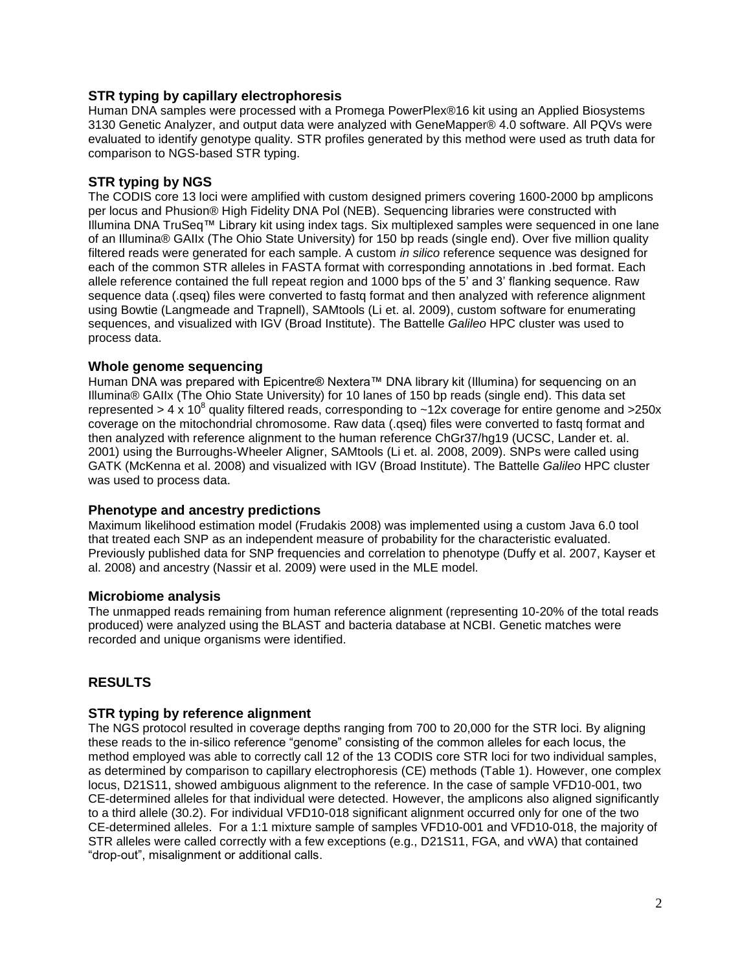## **STR typing by capillary electrophoresis**

Human DNA samples were processed with a Promega PowerPlex®16 kit using an Applied Biosystems 3130 Genetic Analyzer, and output data were analyzed with GeneMapper® 4.0 software. All PQVs were evaluated to identify genotype quality. STR profiles generated by this method were used as truth data for comparison to NGS-based STR typing.

## **STR typing by NGS**

The CODIS core 13 loci were amplified with custom designed primers covering 1600-2000 bp amplicons per locus and Phusion® High Fidelity DNA Pol (NEB). Sequencing libraries were constructed with Illumina DNA TruSeq™ Library kit using index tags. Six multiplexed samples were sequenced in one lane of an Illumina® GAIIx (The Ohio State University) for 150 bp reads (single end). Over five million quality filtered reads were generated for each sample. A custom *in silico* reference sequence was designed for each of the common STR alleles in FASTA format with corresponding annotations in .bed format. Each allele reference contained the full repeat region and 1000 bps of the 5' and 3' flanking sequence. Raw sequence data (.qseq) files were converted to fastq format and then analyzed with reference alignment using Bowtie (Langmeade and Trapnell), SAMtools (Li et. al. 2009), custom software for enumerating sequences, and visualized with IGV (Broad Institute). The Battelle *Galileo* HPC cluster was used to process data.

## **Whole genome sequencing**

Human DNA was prepared with Epicentre® Nextera™ DNA library kit (Illumina) for sequencing on an Illumina® GAIIx (The Ohio State University) for 10 lanes of 150 bp reads (single end). This data set represented > 4 x 10<sup>8</sup> quality filtered reads, corresponding to ~12x coverage for entire genome and >250x coverage on the mitochondrial chromosome. Raw data (.qseq) files were converted to fastq format and then analyzed with reference alignment to the human reference ChGr37/hg19 (UCSC, Lander et. al. 2001) using the Burroughs-Wheeler Aligner, SAMtools (Li et. al. 2008, 2009). SNPs were called using GATK (McKenna et al. 2008) and visualized with IGV (Broad Institute). The Battelle *Galileo* HPC cluster was used to process data.

## **Phenotype and ancestry predictions**

Maximum likelihood estimation model (Frudakis 2008) was implemented using a custom Java 6.0 tool that treated each SNP as an independent measure of probability for the characteristic evaluated. Previously published data for SNP frequencies and correlation to phenotype (Duffy et al. 2007, Kayser et al. 2008) and ancestry (Nassir et al. 2009) were used in the MLE model.

## **Microbiome analysis**

The unmapped reads remaining from human reference alignment (representing 10-20% of the total reads produced) were analyzed using the BLAST and bacteria database at NCBI. Genetic matches were recorded and unique organisms were identified.

## **RESULTS**

## **STR typing by reference alignment**

The NGS protocol resulted in coverage depths ranging from 700 to 20,000 for the STR loci. By aligning these reads to the in-silico reference "genome" consisting of the common alleles for each locus, the method employed was able to correctly call 12 of the 13 CODIS core STR loci for two individual samples, as determined by comparison to capillary electrophoresis (CE) methods (Table 1). However, one complex locus, D21S11, showed ambiguous alignment to the reference. In the case of sample VFD10-001, two CE-determined alleles for that individual were detected. However, the amplicons also aligned significantly to a third allele (30.2). For individual VFD10-018 significant alignment occurred only for one of the two CE-determined alleles. For a 1:1 mixture sample of samples VFD10-001 and VFD10-018, the majority of STR alleles were called correctly with a few exceptions (e.g., D21S11, FGA, and vWA) that contained "drop-out", misalignment or additional calls.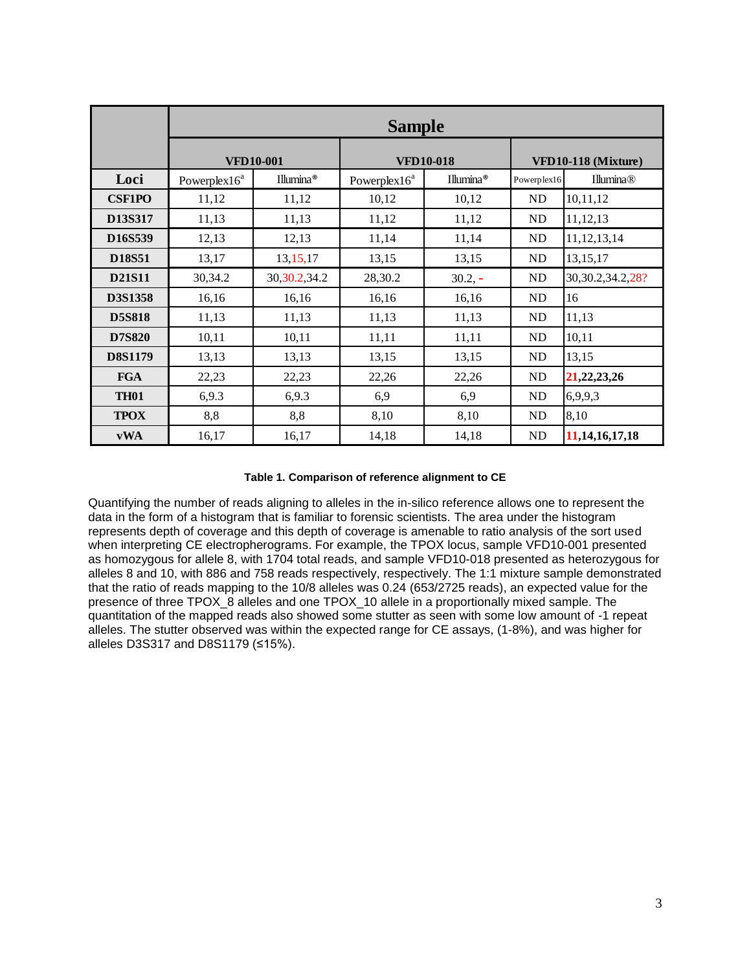|                                  | <b>Sample</b>    |                  |                          |           |                     |                       |  |
|----------------------------------|------------------|------------------|--------------------------|-----------|---------------------|-----------------------|--|
|                                  | <b>VFD10-001</b> |                  | <b>VFD10-018</b>         |           | VFD10-118 (Mixture) |                       |  |
| Loci                             | Powerplex $16^a$ | Illumina®        | Powerplex16 <sup>a</sup> | Illumina® | Powerplex16         | <b>Illumina®</b>      |  |
| <b>CSF1PO</b>                    | 11,12            | 11,12            | 10,12                    | 10,12     | ND                  | 10,11,12              |  |
| D13S317                          | 11,13            | 11,13            | 11,12                    | 11,12     | ND                  | 11,12,13              |  |
| D <sub>16</sub> S <sub>539</sub> | 12,13            | 12,13            | 11,14                    | 11,14     | <b>ND</b>           | 11, 12, 13, 14        |  |
| <b>D18S51</b>                    | 13,17            | 13, 15, 17       | 13,15                    | 13,15     | ND                  | 13, 15, 17            |  |
| <b>D21S11</b>                    | 30,34.2          | 30, 30. 2, 34. 2 | 28,30.2                  | $30.2, -$ | ND                  | 30, 30. 2, 34. 2, 28? |  |
| D3S1358                          | 16,16            | 16,16            | 16,16                    | 16,16     | ND                  | 16                    |  |
| <b>D5S818</b>                    | 11,13            | 11,13            | 11,13                    | 11,13     | ND                  | 11,13                 |  |
| <b>D7S820</b>                    | 10,11            | 10,11            | 11,11                    | 11,11     | ND                  | 10,11                 |  |
| <b>D8S1179</b>                   | 13,13            | 13,13            | 13,15                    | 13,15     | ND                  | 13,15                 |  |
| <b>FGA</b>                       | 22,23            | 22,23            | 22,26                    | 22,26     | ND                  | 21, 22, 23, 26        |  |
| <b>TH01</b>                      | 6,9.3            | 6,9.3            | 6,9                      | 6,9       | ND                  | 6,9,9,3               |  |
| <b>TPOX</b>                      | 8,8              | 8,8              | 8,10                     | 8,10      | ND                  | 8,10                  |  |
| vWA                              | 16,17            | 16,17            | 14,18                    | 14,18     | <b>ND</b>           | 11, 14, 16, 17, 18    |  |

#### **Table 1. Comparison of reference alignment to CE**

Quantifying the number of reads aligning to alleles in the in-silico reference allows one to represent the data in the form of a histogram that is familiar to forensic scientists. The area under the histogram represents depth of coverage and this depth of coverage is amenable to ratio analysis of the sort used when interpreting CE electropherograms. For example, the TPOX locus, sample VFD10-001 presented as homozygous for allele 8, with 1704 total reads, and sample VFD10-018 presented as heterozygous for alleles 8 and 10, with 886 and 758 reads respectively, respectively. The 1:1 mixture sample demonstrated that the ratio of reads mapping to the 10/8 alleles was 0.24 (653/2725 reads), an expected value for the presence of three TPOX 8 alleles and one TPOX 10 allele in a proportionally mixed sample. The quantitation of the mapped reads also showed some stutter as seen with some low amount of -1 repeat alleles. The stutter observed was within the expected range for CE assays, (1-8%), and was higher for alleles D3S317 and D8S1179 (≤15%).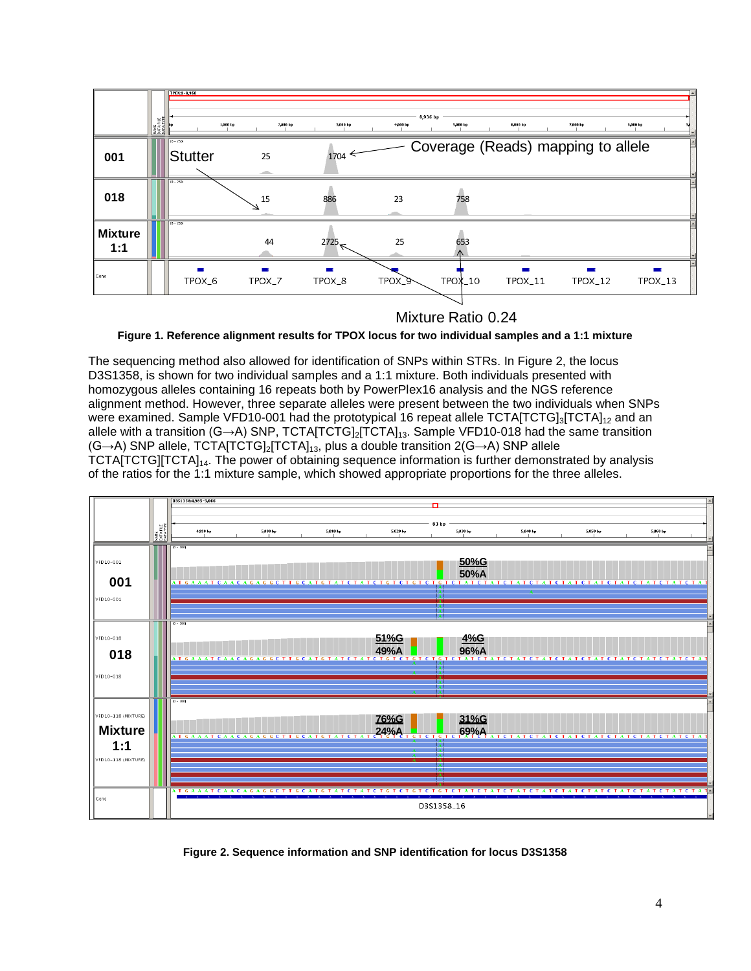

Mixture Ratio 0.24

**Figure 1. Reference alignment results for TPOX locus for two individual samples and a 1:1 mixture**

The sequencing method also allowed for identification of SNPs within STRs. In Figure 2, the locus D3S1358, is shown for two individual samples and a 1:1 mixture. Both individuals presented with homozygous alleles containing 16 repeats both by PowerPlex16 analysis and the NGS reference alignment method. However, three separate alleles were present between the two individuals when SNPs were examined. Sample VFD10-001 had the prototypical 16 repeat allele TCTA[TCTG]<sub>3</sub>[TCTA]<sub>12</sub> and an allele with a transition (G→A) SNP, TCTA[TCTG]<sub>2</sub>[TCTA]<sub>13</sub>. Sample VFD10-018 had the same transition (G→A) SNP allele, TCTA[TCTG]2[TCTA]13, plus a double transition 2(G→A) SNP allele TCTA[TCTG][TCTA]<sub>14</sub>. The power of obtaining sequence information is further demonstrated by analysis of the ratios for the 1:1 mixture sample, which showed appropriate proportions for the three alleles.



**Figure 2. Sequence information and SNP identification for locus D3S1358**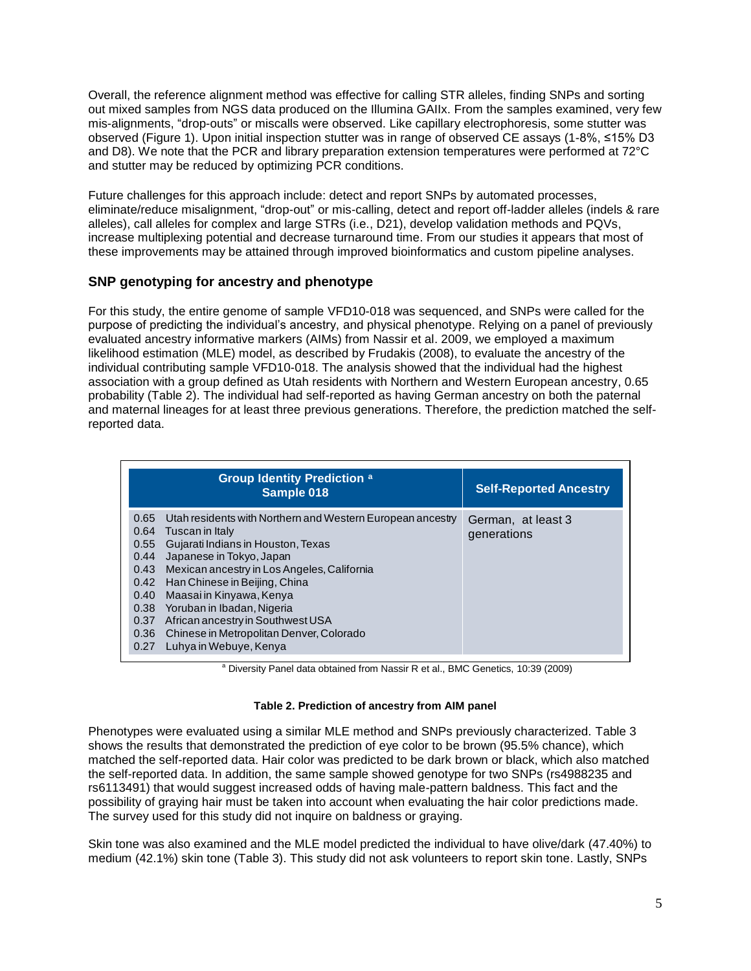Overall, the reference alignment method was effective for calling STR alleles, finding SNPs and sorting out mixed samples from NGS data produced on the Illumina GAIIx. From the samples examined, very few mis-alignments, "drop-outs" or miscalls were observed. Like capillary electrophoresis, some stutter was observed (Figure 1). Upon initial inspection stutter was in range of observed CE assays (1-8%, ≤15% D3 and D8). We note that the PCR and library preparation extension temperatures were performed at 72°C and stutter may be reduced by optimizing PCR conditions.

Future challenges for this approach include: detect and report SNPs by automated processes, eliminate/reduce misalignment, "drop-out" or mis-calling, detect and report off-ladder alleles (indels & rare alleles), call alleles for complex and large STRs (i.e., D21), develop validation methods and PQVs, increase multiplexing potential and decrease turnaround time. From our studies it appears that most of these improvements may be attained through improved bioinformatics and custom pipeline analyses.

# **SNP genotyping for ancestry and phenotype**

For this study, the entire genome of sample VFD10-018 was sequenced, and SNPs were called for the purpose of predicting the individual's ancestry, and physical phenotype. Relying on a panel of previously evaluated ancestry informative markers (AIMs) from Nassir et al. 2009, we employed a maximum likelihood estimation (MLE) model, as described by Frudakis (2008), to evaluate the ancestry of the individual contributing sample VFD10-018. The analysis showed that the individual had the highest association with a group defined as Utah residents with Northern and Western European ancestry, 0.65 probability (Table 2). The individual had self-reported as having German ancestry on both the paternal and maternal lineages for at least three previous generations. Therefore, the prediction matched the selfreported data.

| <b>Group Identity Prediction a</b><br>Sample 018                                                                                                                                                                                                                                                                                                                                                                                                                                             | <b>Self-Reported Ancestry</b>     |
|----------------------------------------------------------------------------------------------------------------------------------------------------------------------------------------------------------------------------------------------------------------------------------------------------------------------------------------------------------------------------------------------------------------------------------------------------------------------------------------------|-----------------------------------|
| Utah residents with Northern and Western European ancestry<br>0.65<br>0.64<br>Tuscan in Italy<br>Gujarati Indians in Houston, Texas<br>0.55<br>0.44<br>Japanese in Tokyo, Japan<br>Mexican ancestry in Los Angeles, California<br>0.43<br>Han Chinese in Beijing, China<br>0.42<br>Maasai in Kinyawa, Kenya<br>0.40<br>Yoruban in Ibadan, Nigeria<br>0.38<br>African ancestry in Southwest USA<br>0.37<br>Chinese in Metropolitan Denver, Colorado<br>0.36<br>Luhya in Webuye, Kenya<br>0.27 | German, at least 3<br>generations |

<sup>a</sup> Diversity Panel data obtained from Nassir R et al., BMC Genetics, 10:39 (2009)

#### **Table 2. Prediction of ancestry from AIM panel**

Phenotypes were evaluated using a similar MLE method and SNPs previously characterized. Table 3 shows the results that demonstrated the prediction of eye color to be brown (95.5% chance), which matched the self-reported data. Hair color was predicted to be dark brown or black, which also matched the self-reported data. In addition, the same sample showed genotype for two SNPs (rs4988235 and rs6113491) that would suggest increased odds of having male-pattern baldness. This fact and the possibility of graying hair must be taken into account when evaluating the hair color predictions made. The survey used for this study did not inquire on baldness or graying.

Skin tone was also examined and the MLE model predicted the individual to have olive/dark (47.40%) to medium (42.1%) skin tone (Table 3). This study did not ask volunteers to report skin tone. Lastly, SNPs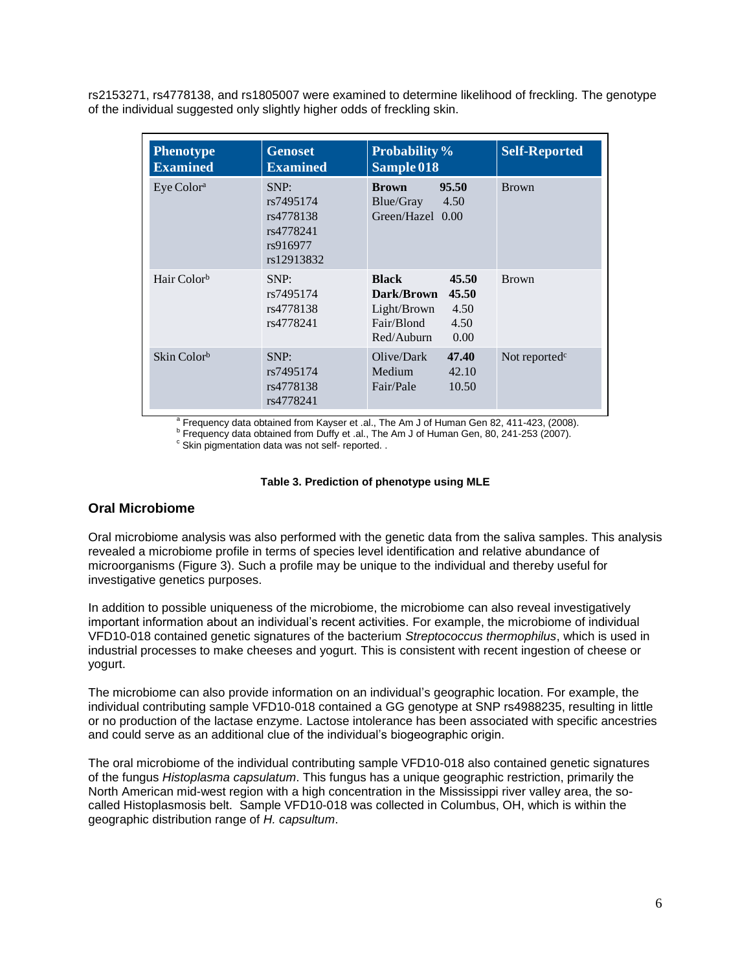rs2153271, rs4778138, and rs1805007 were examined to determine likelihood of freckling. The genotype of the individual suggested only slightly higher odds of freckling skin.

| <b>Phenotype</b><br><b>Examined</b> | <b>Genoset</b><br><b>Examined</b>                                     | <b>Probability</b> %<br>Sample 018                                                                              | <b>Self-Reported</b>      |
|-------------------------------------|-----------------------------------------------------------------------|-----------------------------------------------------------------------------------------------------------------|---------------------------|
| Eye Color <sup>a</sup>              | SNP:<br>rs7495174<br>rs4778138<br>rs4778241<br>rs916977<br>rs12913832 | 95.50<br><b>Brown</b><br>Blue/Gray<br>4.50<br>Green/Hazel 0.00                                                  | <b>Brown</b>              |
| Hair Color <sup>b</sup>             | SNP:<br>rs7495174<br>rs4778138<br>rs4778241                           | <b>Black</b><br>45.50<br>Dark/Brown<br>45.50<br>Light/Brown<br>4.50<br>Fair/Blond<br>4.50<br>Red/Auburn<br>0.00 | <b>Brown</b>              |
| Skin Color <sup>b</sup>             | SNP:<br>rs7495174<br>rs4778138<br>rs4778241                           | Olive/Dark<br>47.40<br>Medium<br>42.10<br>Fair/Pale<br>10.50                                                    | Not reported <sup>c</sup> |

<sup>a</sup> Frequency data obtained from Kayser et .al., The Am J of Human Gen 82, 411-423, (2008).

<sup>b</sup> Frequency data obtained from Duffy et .al., The Am J of Human Gen, 80, 241-253 (2007).

 $\degree$  Skin pigmentation data was not self- reported. .

#### **Table 3. Prediction of phenotype using MLE**

## **Oral Microbiome**

Oral microbiome analysis was also performed with the genetic data from the saliva samples. This analysis revealed a microbiome profile in terms of species level identification and relative abundance of microorganisms (Figure 3). Such a profile may be unique to the individual and thereby useful for investigative genetics purposes.

In addition to possible uniqueness of the microbiome, the microbiome can also reveal investigatively important information about an individual's recent activities. For example, the microbiome of individual VFD10-018 contained genetic signatures of the bacterium *Streptococcus thermophilus*, which is used in industrial processes to make cheeses and yogurt. This is consistent with recent ingestion of cheese or yogurt.

The microbiome can also provide information on an individual's geographic location. For example, the individual contributing sample VFD10-018 contained a GG genotype at SNP rs4988235, resulting in little or no production of the lactase enzyme. Lactose intolerance has been associated with specific ancestries and could serve as an additional clue of the individual's biogeographic origin.

The oral microbiome of the individual contributing sample VFD10-018 also contained genetic signatures of the fungus *Histoplasma capsulatum*. This fungus has a unique geographic restriction, primarily the North American mid-west region with a high concentration in the Mississippi river valley area, the socalled Histoplasmosis belt. Sample VFD10-018 was collected in Columbus, OH, which is within the geographic distribution range of *H. capsultum*.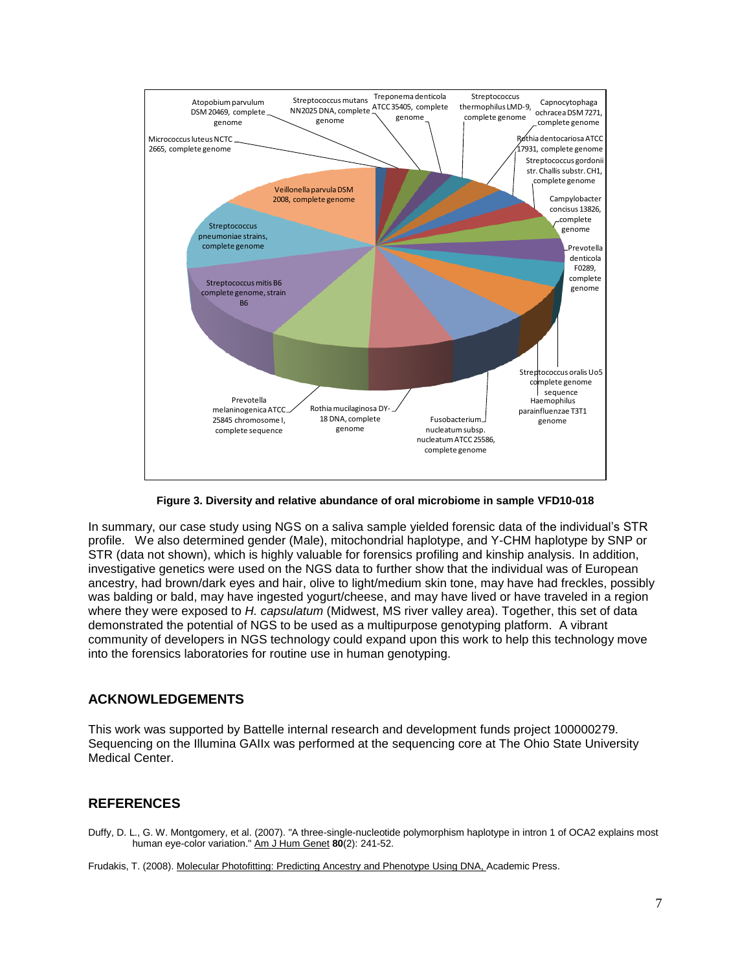

**Figure 3. Diversity and relative abundance of oral microbiome in sample VFD10-018**

In summary, our case study using NGS on a saliva sample yielded forensic data of the individual's STR profile. We also determined gender (Male), mitochondrial haplotype, and Y-CHM haplotype by SNP or STR (data not shown), which is highly valuable for forensics profiling and kinship analysis. In addition, investigative genetics were used on the NGS data to further show that the individual was of European ancestry, had brown/dark eyes and hair, olive to light/medium skin tone, may have had freckles, possibly was balding or bald, may have ingested yogurt/cheese, and may have lived or have traveled in a region where they were exposed to *H. capsulatum* (Midwest, MS river valley area). Together, this set of data demonstrated the potential of NGS to be used as a multipurpose genotyping platform. A vibrant community of developers in NGS technology could expand upon this work to help this technology move into the forensics laboratories for routine use in human genotyping.

## **ACKNOWLEDGEMENTS**

This work was supported by Battelle internal research and development funds project 100000279. Sequencing on the Illumina GAIIx was performed at the sequencing core at The Ohio State University Medical Center.

## **REFERENCES**

Duffy, D. L., G. W. Montgomery, et al. (2007). "A three-single-nucleotide polymorphism haplotype in intron 1 of OCA2 explains most human eye-color variation." Am J Hum Genet **80**(2): 241-52.

Frudakis, T. (2008). Molecular Photofitting: Predicting Ancestry and Phenotype Using DNA, Academic Press.